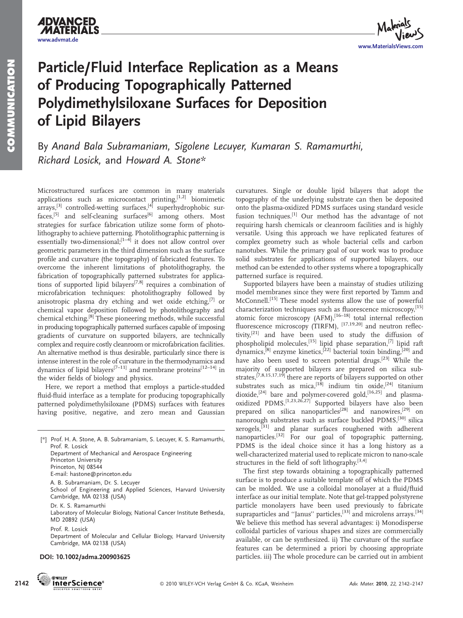## **ADVANCED** www.advmat.de



# Particle/Fluid Interface Replication as a Means of Producing Topographically Patterned Polydimethylsiloxane Surfaces for Deposition of Lipid Bilayers

By Anand Bala Subramaniam, Sigolene Lecuyer, Kumaran S. Ramamurthi, Richard Losick, and Howard A. Stone\*

Microstructured surfaces are common in many materials applications such as microcontact printing, $[1,2]$  biomimetic  $arrows$ <sup>[3]</sup> controlled-wetting surfaces,<sup>[4]</sup> superhydrophobic sur $faces$ ,  $[5]$  and self-cleaning surfaces<sup>[6]</sup> among others. Most strategies for surface fabrication utilize some form of photolithography to achieve patterning. Photolithographic patterning is essentially two-dimensional; $[1-4]$  it does not allow control over geometric parameters in the third dimension such as the surface profile and curvature (the topography) of fabricated features. To overcome the inherent limitations of photolithography, the fabrication of topographically patterned substrates for applications of supported lipid bilayers<sup>[7,8]</sup> requires a combination of microfabrication techniques: photolithography followed by anisotropic plasma dry etching and wet oxide etching,<sup>[7]</sup> or chemical vapor deposition followed by photolithography and chemical etching.<sup>[8]</sup> These pioneering methods, while successful in producing topographically patterned surfaces capable of imposing gradients of curvature on supported bilayers, are technically complex and require costly cleanroom or microfabrication facilities. An alternative method is thus desirable, particularly since there is intense interest in the role of curvature in the thermodynamics and dynamics of lipid bilayers<sup>[7-11]</sup> and membrane proteins<sup>[12-14]</sup> in the wider fields of biology and physics.

Here, we report a method that employs a particle-studded fluid-fluid interface as a template for producing topographically patterned polydimethylsiloxane (PDMS) surfaces with features having positive, negative, and zero mean and Gaussian

[*\**] Prof. H. A. Stone, A. B. Subramaniam, S. Lecuyer, K. S. Ramamurthi, Prof. R. Losick Department of Mechanical and Aerospace Engineering Princeton University Princeton, NJ 08544 E-mail: hastone@princeton.edu A. B. Subramaniam, Dr. S. Lecuyer School of Engineering and Applied Sciences, Harvard University Cambridge, MA 02138 (USA) Dr. K. S. Ramamurthi Laboratory of Molecular Biology, National Cancer Institute Bethesda, MD 20892 (USA) Prof. R. Losick Department of Molecular and Cellular Biology, Harvard University Cambridge, MA 02138 (USA)

#### DOI: 10.1002/adma.200903625

curvatures. Single or double lipid bilayers that adopt the topography of the underlying substrate can then be deposited onto the plasma-oxidized PDMS surfaces using standard vesicle fusion techniques.[1] Our method has the advantage of not requiring harsh chemicals or cleanroom facilities and is highly versatile. Using this approach we have replicated features of complex geometry such as whole bacterial cells and carbon nanotubes. While the primary goal of our work was to produce solid substrates for applications of supported bilayers, our method can be extended to other systems where a topographically patterned surface is required.

Supported bilayers have been a mainstay of studies utilizing model membranes since they were first reported by Tamm and McConnell.<sup>[15]</sup> These model systems allow the use of powerful characterization techniques such as fluorescence microscopy, [15] atomic force microscopy (AFM),<sup>[16-18]</sup> total internal reflection fluorescence microscopy (TIRFM), <sup>[17,19,20]</sup> and neutron reflectivity,<sup>[21]</sup> and have been used to study the diffusion of phospholipid molecules,<sup>[15]</sup> lipid phase separation,<sup>[7]</sup> lipid raft dynamics,<sup>[8]</sup> enzyme kinetics,<sup>[22]</sup> bacterial toxin binding,<sup>[20]</sup> and have also been used to screen potential drugs.<sup>[23]</sup> While the majority of supported bilayers are prepared on silica substrates,  $[7,8,15,17,19]$  there are reports of bilayers supported on other substrates such as mica,<sup>[18]</sup> indium tin oxide,<sup>[24]</sup> titanium dioxide,<sup>[24]</sup> bare and polymer-covered gold,<sup>[16,25]</sup> and plasma- $\overline{\text{oxidized PDMS}}$ .  $\left[\text{1,23,26,27}\right]$  Supported bilayers have also been prepared on silica nanoparticles<sup>[28]</sup> and nanowires,<sup>[29]</sup> on nanorough substrates such as surface buckled PDMS, $^{[30]}$  silica xerogels,<sup>[31]</sup> and planar surfaces roughened with adherent nanoparticles.[32] For our goal of topographic patterning, PDMS is the ideal choice since it has a long history as a well-characterized material used to replicate micron to nano-scale structures in the field of soft lithography.<sup>[3,4]</sup>

The first step towards obtaining a topographically patterned surface is to produce a suitable template off of which the PDMS can be molded. We use a colloidal monolayer at a fluid/fluid interface as our initial template. Note that gel-trapped polystyrene particle monolayers have been used previously to fabricate supraparticles and "Janus" particles, $^{[33]}$  and microlens arrays.<sup>[34]</sup> We believe this method has several advantages: i) Monodisperse colloidal particles of various shapes and sizes are commercially available, or can be synthesized. ii) The curvature of the surface features can be determined a priori by choosing appropriate particles. iii) The whole procedure can be carried out in ambient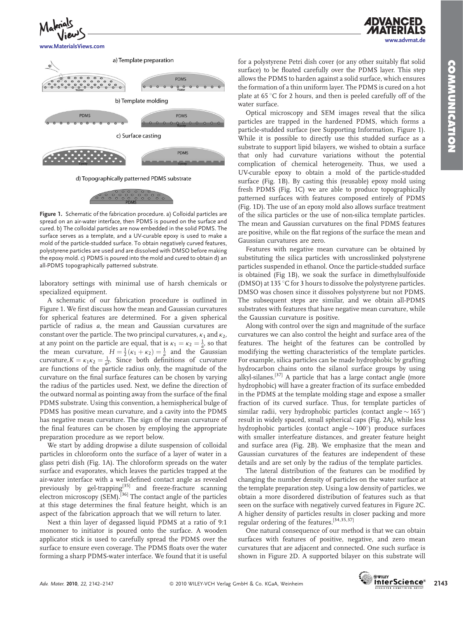www.advmat.de

*ADVANCED* 







Figure 1. Schematic of the fabrication procedure. a) Colloidal particles are spread on an air-water interface, then PDMS is poured on the surface and cured. b) The colloidal particles are now embedded in the solid PDMS. The surface serves as a template, and a UV-curable epoxy is used to make a mold of the particle-studded surface. To obtain negatively curved features, polystyrene particles are used and are dissolved with DMSO before making the epoxy mold. c) PDMS is poured into the mold and cured to obtain d) an all-PDMS topographically patterned substrate.

laboratory settings with minimal use of harsh chemicals or specialized equipment.

A schematic of our fabrication procedure is outlined in Figure 1. We first discuss how the mean and Gaussian curvatures for spherical features are determined. For a given spherical particle of radius a, the mean and Gaussian curvatures are constant over the particle. The two principal curvatures,  $\kappa_1$  and  $\kappa_2$ , at any point on the particle are equal, that is  $\kappa_1 = \kappa_2 = \frac{1}{a}$ , so that the mean curvature,  $H = \frac{1}{2}(\kappa_1 + \kappa_2) = \frac{1}{a}$  and the Gaussian curvature,  $K = \kappa_1 \kappa_2 = \frac{1}{a^2}$ . Since both definitions of curvature are functions of the particle radius only, the magnitude of the curvature on the final surface features can be chosen by varying the radius of the particles used. Next, we define the direction of the outward normal as pointing away from the surface of the final PDMS substrate. Using this convention, a hemispherical bulge of PDMS has positive mean curvature, and a cavity into the PDMS has negative mean curvature. The sign of the mean curvature of the final features can be chosen by employing the appropriate preparation procedure as we report below.

We start by adding dropwise a dilute suspension of colloidal particles in chloroform onto the surface of a layer of water in a glass petri dish (Fig. 1A). The chloroform spreads on the water surface and evaporates, which leaves the particles trapped at the air-water interface with a well-defined contact angle as revealed previously by gel-trapping<sup>[35]</sup> and freeze-fracture scanning electron microscopy  $(SEM)$ <sup>[36]</sup> The contact angle of the particles at this stage determines the final feature height, which is an aspect of the fabrication approach that we will return to later.

Next a thin layer of degassed liquid PDMS at a ratio of 9:1 monomer to initiator is poured onto the surface. A wooden applicator stick is used to carefully spread the PDMS over the surface to ensure even coverage. The PDMS floats over the water forming a sharp PDMS-water interface. We found that it is useful for a polystyrene Petri dish cover (or any other suitably flat solid surface) to be floated carefully over the PDMS layer. This step allows the PDMS to harden against a solid surface, which ensures the formation of a thin uniform layer. The PDMS is cured on a hot plate at 65 °C for 2 hours, and then is peeled carefully off of the water surface.

Optical microscopy and SEM images reveal that the silica particles are trapped in the hardened PDMS, which forms a particle-studded surface (see Supporting Information, Figure 1). While it is possible to directly use this studded surface as a substrate to support lipid bilayers, we wished to obtain a surface that only had curvature variations without the potential complication of chemical heterogeneity. Thus, we used a UV-curable epoxy to obtain a mold of the particle-studded surface (Fig. 1B). By casting this (reusable) epoxy mold using fresh PDMS (Fig. 1C) we are able to produce topographically patterned surfaces with features composed entirely of PDMS (Fig. 1D). The use of an epoxy mold also allows surface treatment of the silica particles or the use of non-silica template particles. The mean and Gaussian curvatures on the final PDMS features are positive, while on the flat regions of the surface the mean and Gaussian curvatures are zero.

Features with negative mean curvature can be obtained by substituting the silica particles with uncrosslinked polystyrene particles suspended in ethanol. Once the particle-studded surface is obtained (Fig 1B), we soak the surface in dimethylsulfoxide (DMSO) at 135  $\degree$ C for 3 hours to dissolve the polystyrene particles. DMSO was chosen since it dissolves polystyrene but not PDMS. The subsequent steps are similar, and we obtain all-PDMS substrates with features that have negative mean curvature, while the Gaussian curvature is positive.

Along with control over the sign and magnitude of the surface curvatures we can also control the height and surface area of the features. The height of the features can be controlled by modifying the wetting characteristics of the template particles. For example, silica particles can be made hydrophobic by grafting hydrocarbon chains onto the silanol surface groups by using alkyl-silanes.<sup>[37]</sup> A particle that has a large contact angle (more hydrophobic) will have a greater fraction of its surface embedded in the PDMS at the template molding stage and expose a smaller fraction of its curved surface. Thus, for template particles of similar radii, very hydrophobic particles (contact angle  $\sim 165^{\circ}$ ) result in widely spaced, small spherical caps (Fig. 2A), while less hydrophobic particles (contact angle  $\sim 100^{\circ}$ ) produce surfaces with smaller interfeature distances, and greater feature height and surface area (Fig. 2B). We emphasize that the mean and Gaussian curvatures of the features are independent of these details and are set only by the radius of the template particles.

The lateral distribution of the features can be modified by changing the number density of particles on the water surface at the template preparation step. Using a low density of particles, we obtain a more disordered distribution of features such as that seen on the surface with negatively curved features in Figure 2C. A higher density of particles results in closer packing and more regular ordering of the features.<sup>[34,35,37]</sup>

One natural consequence of our method is that we can obtain surfaces with features of positive, negative, and zero mean curvatures that are adjacent and connected. One such surface is shown in Figure 2D. A supported bilayer on this substrate will

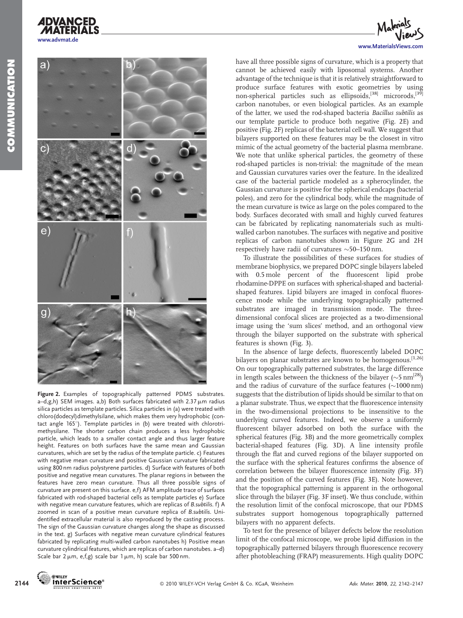



Figure 2. Examples of topographically patterned PDMS substrates. a–d,g,h) SEM images. a,b) Both surfaces fabricated with  $2.37 \mu m$  radius silica particles as template particles. Silica particles in (a) were treated with chloro(dodecyl)dimethylsilane, which makes them very hydrophobic (contact angle  $165^\circ$ ). Template particles in (b) were treated with chlorotrimethysilane. The shorter carbon chain produces a less hydrophobic particle, which leads to a smaller contact angle and thus larger feature height. Features on both surfaces have the same mean and Gaussian curvatures, which are set by the radius of the template particle. c) Features with negative mean curvature and positive Gaussian curvature fabricated using 800 nm radius polystyrene particles. d) Surface with features of both positive and negative mean curvatures. The planar regions in between the features have zero mean curvature. Thus all three possible signs of curvature are present on this surface. e,f) AFM amplitude trace of surfaces fabricated with rod-shaped bacterial cells as template particles e) Surface with negative mean curvature features, which are replicas of B.subtilis. f) A zoomed in scan of a positive mean curvature replica of B.subtilis. Unidentified extracellular material is also reproduced by the casting process. The sign of the Gaussian curvature changes along the shape as discussed in the text. g) Surfaces with negative mean curvature cylindrical features fabricated by replicating multi-walled carbon nanotubes h) Positive mean curvature cylindrical features, which are replicas of carbon nanotubes. a–d) Scale bar 2  $\mu$ m, e,f,g) scale bar 1  $\mu$ m, h) scale bar 500 nm.

have all three possible signs of curvature, which is a property that cannot be achieved easily with liposomal systems. Another advantage of the technique is that it is relatively straightforward to produce surface features with exotic geometries by using non-spherical particles such as ellipsoids,  $[38]$  microrods,  $[39]$ carbon nanotubes, or even biological particles. As an example of the latter, we used the rod-shaped bacteria Bacillus subtilis as our template particle to produce both negative (Fig. 2E) and positive (Fig. 2F) replicas of the bacterial cell wall. We suggest that bilayers supported on these features may be the closest in vitro mimic of the actual geometry of the bacterial plasma membrane. We note that unlike spherical particles, the geometry of these rod-shaped particles is non-trivial: the magnitude of the mean and Gaussian curvatures varies over the feature. In the idealized case of the bacterial particle modeled as a spherocylinder, the Gaussian curvature is positive for the spherical endcaps (bacterial poles), and zero for the cylindrical body, while the magnitude of the mean curvature is twice as large on the poles compared to the body. Surfaces decorated with small and highly curved features can be fabricated by replicating nanomaterials such as multiwalled carbon nanotubes. The surfaces with negative and positive replicas of carbon nanotubes shown in Figure 2G and 2H respectively have radii of curvatures  $\sim$  50–150 nm.

To illustrate the possibilities of these surfaces for studies of membrane biophysics, we prepared DOPC single bilayers labeled with 0.5 mole percent of the fluorescent lipid probe rhodamine-DPPE on surfaces with spherical-shaped and bacterialshaped features. Lipid bilayers are imaged in confocal fluorescence mode while the underlying topographically patterned substrates are imaged in transmission mode. The threedimensional confocal slices are projected as a two-dimensional image using the 'sum slices' method, and an orthogonal view through the bilayer supported on the substrate with spherical features is shown (Fig. 3).

In the absence of large defects, fluorescently labeled DOPC bilayers on planar substrates are known to be homogenous.<sup>[1,26]</sup> On our topographically patterned substrates, the large difference in length scales between the thickness of the bilayer ( $\sim$ 5 nm<sup>[28]</sup>) and the radius of curvature of the surface features  $( \sim 1000 \text{ nm})$ suggests that the distribution of lipids should be similar to that on a planar substrate. Thus, we expect that the fluorescence intensity in the two-dimensional projections to be insensitive to the underlying curved features. Indeed, we observe a uniformly fluorescent bilayer adsorbed on both the surface with the spherical features (Fig. 3B) and the more geometrically complex bacterial-shaped features (Fig. 3D). A line intensity profile through the flat and curved regions of the bilayer supported on the surface with the spherical features confirms the absence of correlation between the bilayer fluorescence intensity (Fig. 3F) and the position of the curved features (Fig. 3E). Note however, that the topographical patterning is apparent in the orthogonal slice through the bilayer (Fig. 3F inset). We thus conclude, within the resolution limit of the confocal microscope, that our PDMS substrates support homogenous topographically patterned bilayers with no apparent defects.

To test for the presence of bilayer defects below the resolution limit of the confocal microscope, we probe lipid diffusion in the topographically patterned bilayers through fluorescence recovery after photobleaching (FRAP) measurements. High quality DOPC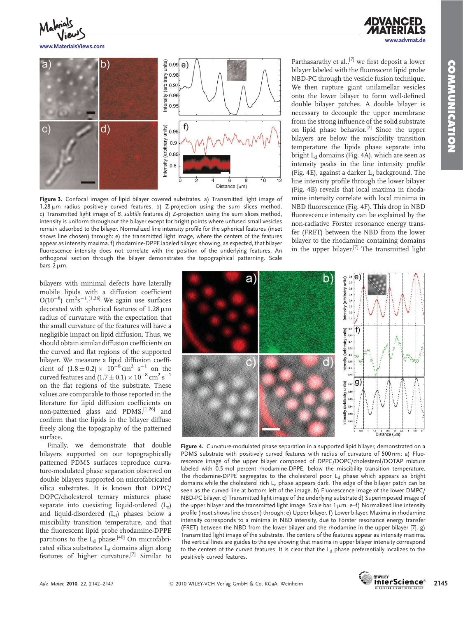Materia

www.MaterialsViews.com



Figure 3. Confocal images of lipid bilayer covered substrates. a) Transmitted light image of  $1.28 \,\mu$ m radius positively curved features. b) Z-projection using the sum slices method. c) Transmitted light image of B. subtilis features d) Z-projection using the sum slices method, intensity is uniform throughout the bilayer except for bright points where unfused small vesicles remain adsorbed to the bilayer. Normalized line intensity profile for the spherical features (inset shows line chosen) through: e) the transmitted light image, where the centers of the features appear as intensity maxima. f) rhodamine-DPPE labeled bilayer, showing, as expected, that bilayer fluorescence intensity does not correlate with the position of the underlying features. An orthogonal section through the bilayer demonstrates the topographical patterning. Scale bars  $2 \mu m$ .

Parthasarathy et al., $^{[7]}$  we first deposit a lower bilayer labeled with the fluorescent lipid probe NBD-PC through the vesicle fusion technique. We then rupture giant unilamellar vesicles onto the lower bilayer to form well-defined double bilayer patches. A double bilayer is necessary to decouple the upper membrane from the strong influence of the solid substrate on lipid phase behavior.<sup>[7]</sup> Since the upper bilayers are below the miscibility transition temperature the lipids phase separate into bright  $L_d$  domains (Fig. 4A), which are seen as intensity peaks in the line intensity profile (Fig. 4E), against a darker  $L_0$  background. The line intensity profile through the lower bilayer (Fig. 4B) reveals that local maxima in rhodamine intensity correlate with local minima in NBD fluorescence (Fig. 4F). This drop in NBD fluorescence intensity can be explained by the non-radiative Förster resonance energy transfer (FRET) between the NBD from the lower bilayer to the rhodamine containing domains in the upper bilayer.[7] The transmitted light



www.advmat.de

*ADVANCED* 

bilayers with minimal defects have laterally mobile lipids with a diffusion coefficient  $O(10^{-8})$   $\rm cm^2s^{-1}.$ <sup>[1,26]</sup> We again use surfaces decorated with spherical features of  $1.28 \text{ }\mu\text{m}$ radius of curvature with the expectation that the small curvature of the features will have a negligible impact on lipid diffusion. Thus, we should obtain similar diffusion coefficients on the curved and flat regions of the supported bilayer. We measure a lipid diffusion coefficient of  $(1.8 \pm 0.2) \times 10^{-8} \text{ cm}^2 \text{ s}^{-1}$  on the curved features and (1.7  $\pm$  0.1)  $\times$   $10^{-8}$   ${\rm cm}^2$   ${\rm s}^{-1}$ on the flat regions of the substrate. These values are comparable to those reported in the literature for lipid diffusion coefficients on non-patterned glass and PDMS,<sup>[1,26]</sup> and confirm that the lipids in the bilayer diffuse freely along the topography of the patterned surface.

Finally, we demonstrate that double bilayers supported on our topographically patterned PDMS surfaces reproduce curvature-modulated phase separation observed on double bilayers supported on microfabricated silica substrates. It is known that DPPC/ DOPC/cholesterol ternary mixtures phase separate into coexisting liquid-ordered  $(L_0)$ and liquid-disordered  $(L_d)$  phases below a miscibility transition temperature, and that the fluorescent lipid probe rhodamine-DPPE partitions to the  $L_d$  phase.<sup>[40]</sup> On microfabricated silica substrates  $L_d$  domains align along features of higher curvature.[7] Similar to



Figure 4. Curvature-modulated phase separation in a supported lipid bilayer, demonstrated on a PDMS substrate with positively curved features with radius of curvature of 500 nm: a) Fluorescence image of the upper bilayer composed of DPPC/DOPC/cholesterol/DOTAP mixture labeled with 0.5 mol percent rhodamine-DPPE, below the miscibility transition temperature. The rhodamine-DPPE segregates to the cholesterol poor  $L_d$  phase which appears as bright domains while the cholesterol rich  $L_0$  phase appears dark. The edge of the bilayer patch can be seen as the curved line at bottom left of the image. b) Fluorescence image of the lower DMPC/ NBD-PC bilayer. c) Transmitted light image of the underlying substrate d) Superimposed image of the upper bilayer and the transmitted light image. Scale bar  $1 \mu m$ . e–f) Normalized line intensity profile (inset shows line chosen) through: e) Upper bilayer. f) Lower bilayer. Maxima in rhodamine intensity corresponds to a minima in NBD intensity, due to Förster resonance energy transfer (FRET) between the NBD from the lower bilayer and the rhodamine in the upper bilayer [7]. g) Transmitted light image of the substrate. The centers of the features appear as intensity maxima. The vertical lines are guides to the eye showing that maxima in upper bilayer intensity correspond to the centers of the curved features. It is clear that the  $L_d$  phase preferentially localizes to the positively curved features.

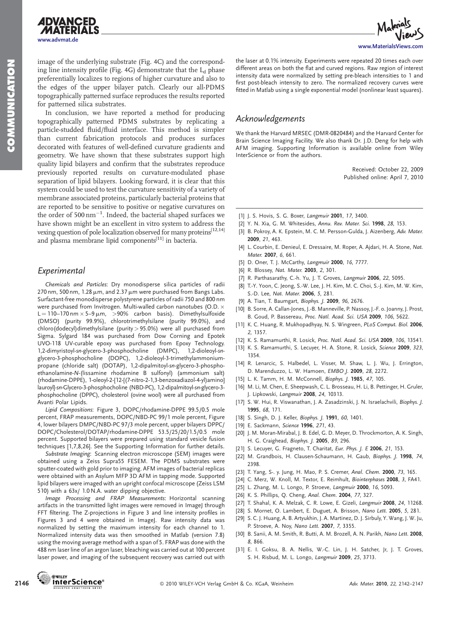**ADVANCED** www.advmat.de



image of the underlying substrate (Fig. 4C) and the corresponding line intensity profile (Fig.  $4G$ ) demonstrate that the  $L_d$  phase preferentially localizes to regions of higher curvature and also to the edges of the upper bilayer patch. Clearly our all-PDMS topographically patterned surface reproduces the results reported for patterned silica substrates.

In conclusion, we have reported a method for producing topographically patterned PDMS substrates by replicating a particle-studded fluid/fluid interface. This method is simpler than current fabrication protocols and produces surfaces decorated with features of well-defined curvature gradients and geometry. We have shown that these substrates support high quality lipid bilayers and confirm that the substrates reproduce previously reported results on curvature-modulated phase separation of lipid bilayers. Looking forward, it is clear that this system could be used to test the curvature sensitivity of a variety of membrane associated proteins, particularly bacterial proteins that are reported to be sensitive to positive or negative curvatures on the order of 500 nm-1 . Indeed, the bacterial shaped surfaces we have shown might be an excellent in vitro system to address the vexing question of pole localization observed for many proteins<sup>[12,14]</sup> and plasma membrane lipid components $[11]$  in bacteria.

#### Experimental

Chemicals and Particles: Dry monodisperse silica particles of radii 270 nm, 500 nm, 1.28  $\mu$ m, and 2.37  $\mu$ m were purchased from Bangs Labs. Surfactant-free monodisperse polystyrene particles of radii 750 and 800 nm were purchased from Invitrogen. Multi-walled carbon nanotubes (O.D.  $L = 110-170$  nm  $\times$  5–9  $\mu$ m,  $>$ 90% carbon basis). Dimethylsulfoxide (DMSO) (purity 99.9%), chlorotrimethylsilane (purity 99.0%), and chloro(dodecyl)dimethylsilane (purity > 95.0%) were all purchased from Sigma. Sylgard 184 was purchased from Dow Corning and Epotek UVO-118 UV-curable epoxy was purchased from Epoxy Technology. 1,2-dimyristoyl-sn-glycero-3-phosphocholine (DMPC), 1,2-dioleoyl-snglycero-3-phosphocholine (DOPC), 1,2-dioleoyl-3-trimethylammoniumpropane (chloride salt) (DOTAP), 1,2-dipalmitoyl-sn-glycero-3-phosphoethanolamine-N-(lissamine rhodamine B sulfonyl) (ammonium salt) (rhodamine-DPPE), 1-oleoyl-2-[12-[(7-nitro-2-1,3-benzoxadiazol-4-yl)amino] lauroyl]-sn-Glycero-3-phosphocholine (NBD-PC), 1,2-dipalmitoyl-sn-glycero-3 phosphocholine (DPPC), cholesterol (ovine wool) were all purchased from Avanti Polar Lipids.

Lipid Compositions: Figure 3, DOPC/rhodamine-DPPE 99.5/0.5 mole percent, FRAP measurements, DOPC/NBD-PC 99/1 mole percent, Figure 4, lower bilayers DMPC/NBD-PC 97/3 mole percent, upper bilayers DPPC/ DOPC/Cholesterol/DOTAP/rhodamine-DPPE 53.5/25/20/1.5/0.5 mole percent. Supported bilayers were prepared using standard vesicle fusion techniques [1,7,8,26]. See the Supporting Information for further details.

Substrate Imaging: Scanning electron microscope (SEM) images were obtained using a Zeiss Supra55 FESEM. The PDMS substrates were sputter-coated with gold prior to imaging. AFM images of bacterial replicas were obtained with an Asylum MFP 3D AFM in tapping mode. Supported lipid bilayers were imaged with an upright confocal microscope (Zeiss LSM 510) with a 63x/ 1.0 N.A. water dipping objective.

Image Processing and FRAP Measurements: Horizontal scanning artifacts in the transmitted light images were removed in ImageJ through FFT filtering. The Z-projections in Figure 3 and line intensity profiles in Figures 3 and 4 were obtained in ImageJ. Raw intensity data was normalized by setting the maximum intensity for each channel to 1. Normalized intensity data was then smoothed in Matlab (version 7.8) using the moving average method with a span of 5. FRAP was done with the 488 nm laser line of an argon laser, bleaching was carried out at 100 percent laser power, and imaging of the subsequent recovery was carried out with the laser at 0.1% intensity. Experiments were repeated 20 times each over different areas on both the flat and curved regions. Raw region of interest intensity data were normalized by setting pre-bleach intensities to 1 and first post-bleach intensity to zero. The normalized recovery curves were fitted in Matlab using a single exponential model (nonlinear least squares).

### Acknowledgements

We thank the Harvard MRSEC (DMR-0820484) and the Harvard Center for Brain Science Imaging Facility. We also thank Dr. J.D. Deng for help with AFM imaging. Supporting Information is available online from Wiley InterScience or from the authors.

> Received: October 22, 2009 Published online: April 7, 2010

- [1] J. S. Hovis, S. G. Boxer, Langmuir 2001, 17, 3400.
- [2] Y. N. Xia, G. M. Whitesides, Annu. Rev. Mater. Sci. 1998, 28, 153.
- [3] B. Pokroy, A. K. Epstein, M. C. M. Persson-Gulda, J. Aizenberg, Adv. Mater. 2009, 21, 463.
- [4] L. Courbin, E. Denieul, E. Dressaire, M. Roper, A. Ajdari, H. A. Stone, Nat. Mater. 2007, 6, 661.
- [5] D. Oner, T. J. McCarthy, Langmuir 2000, 16, 7777.
- [6] R. Blossey, Nat. Mater. 2003, 2, 301.
- [7] R. Parthasarathy, C.-h. Yu, J. T. Groves, Langmuir 2006, 22, 5095.
- [8] T.-Y. Yoon, C. Jeong, S.-W. Lee, J. H. Kim, M. C. Choi, S.-J. Kim, M. W. Kim, S.-D. Lee, Nat. Mater. 2006, 5, 281.
- [9] A. Tian, T. Baumgart, Biophys. J. 2009, 96, 2676.
- [10] B. Sorre, A. Callan-Jones, J.-B. Manneville, P. Nassoy, J.-F. o. Joanny, J. Prost, B. Goud, P. Bassereau, Proc. Natl. Acad. Sci. USA 2009, 106, 5622.
- [11] K. C. Huang, R. Mukhopadhyay, N. S. Wingreen, PLoS Comput. Biol. 2006, 2, 1357.
- [12] K. S. Ramamurthi, R. Losick, Proc. Natl. Acad. Sci. USA 2009, 106, 13541.
- [13] K. S. Ramamurthi, S. Lecuyer, H. A. Stone, R. Losick, Science 2009, 323, 1354.
- [14] R. Lenarcic, S. Halbedel, L. Visser, M. Shaw, L. J. Wu, J. Errington, D. Marenduzzo, L. W. Hamoen, EMBO J. 2009, 28, 2272.
- [15] L. K. Tamm, H. M. McConnell, Biophys. J. 1985, 47, 105.
- [16] M. Li, M. Chen, E. Sheepwash, C. L. Brosseau, H. Li, B. Pettinger, H. Gruler, J. Lipkowski, Langmuir 2008, 24, 10313.
- [17] S. W. Hui, R. Viswanathan, J. A. Zasadzinski, J. N. Israelachvili, Biophys. J. 1995, 68, 171.
- [18] S. Singh, D. J. Keller, Biophys. J. 1991, 60, 1401.
- [19] E. Sackmann, Science 1996, 271, 43.
- [20] J. M. Moran-Mirabal, J. B. Edel, G. D. Meyer, D. Throckmorton, A. K. Singh, H. G. Craighead, Biophys. J. 2005, 89, 296.
- [21] S. Lecuyer, G. Fragneto, T. Charitat, Eur. Phys. J. E 2006, 21, 153.
- [22] M. Grandbois, H. Clausen-Schaumann, H. Gaub, Biophys. J. 1998, 74, 2398.
- [23] T. Yang, S-. y. Jung, H. Mao, P. S. Cremer, Anal. Chem. 2000, 73, 165.
- [24] C. Merz, W. Knoll, M. Textor, E. Reimhult, Biointerphases 2008, 3, FA41.
- [25] L. Zhang, M. L. Longo, P. Stroeve, Langmuir 2000, 16, 5093.
- [26] K. S. Phillips, Q. Cheng, Anal. Chem. 2004, 77, 327.
- [27] T. Shahal, K. A. Melzak, C. R. Lowe, E. Gizeli, Langmuir 2008, 24, 11268.
- [28] S. Mornet, O. Lambert, E. Duguet, A. Brisson, Nano Lett. 2005, 5, 281.
- [29] S. C. J. Huang, A. B. Artyukhin, J. A. Martinez, D. J. Sirbuly, Y. Wang, J. W. Ju, P. Stroeve, A. Noy, Nano Lett. 2007, 7, 3355.
- [30] B. Sanii, A. M. Smith, R. Butti, A. M. Brozell, A. N. Parikh, Nano Lett. 2008, 8, 866.
- [31] E. I. Goksu, B. A. Nellis, W.-C. Lin, J. H. Satcher, Jr, J. T. Groves, S. H. Risbud, M. L. Longo, Langmuir 2009, 25, 3713.